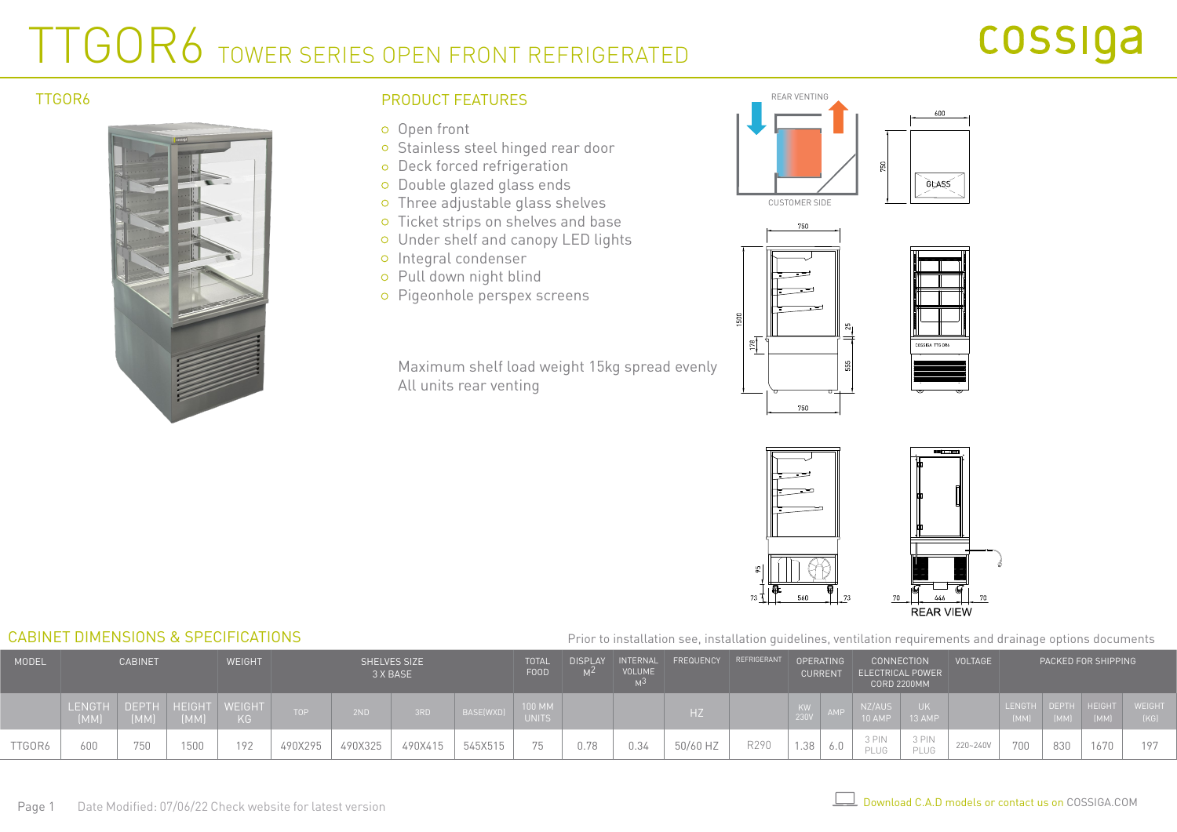# TTGOR6 TOWER SERIES OPEN FRONT REFRIGERATED

### TTGOR6



## PRODUCT FEATURES

- o Open front
- o Stainless steel hinged rear door
- o Deck forced refrigeration
- o Double glazed glass ends
- Three adjustable glass shelves
- o Ticket strips on shelves and base
- Under shelf and canopy LED lights
- o Integral condenser
- Pull down night blind
- o Pigeonhole perspex screens

Maximum shelf load weight 15kg spread evenly All units rear venting









Prior to installation see, installation guidelines, ventilation requirements and drainage options documents

| MODEL  | <b>CABINET</b>  |               | <b>WEIGHT</b>          |     |         | <b>SHELVES SIZE</b><br>3 X BASE |         |           | <b>TOTAL</b><br><b>FOOD</b> | <b>DISPLAY</b><br>M <sup>2</sup> | INTERNAL<br><b>VOLUME</b> | FREQUENCY REFRIGERANT |      | OPERATING<br><b>CURRENT</b> |  | CONNECTION<br><b>ELECTRICAL POWER</b><br><b>CORD 2200MM</b> |               | VOLTAGE  | PACKED FOR SHIPPING |      |                             |                |
|--------|-----------------|---------------|------------------------|-----|---------|---------------------------------|---------|-----------|-----------------------------|----------------------------------|---------------------------|-----------------------|------|-----------------------------|--|-------------------------------------------------------------|---------------|----------|---------------------|------|-----------------------------|----------------|
|        | LENGTH,<br>(MM) | DEPTH<br>[MM] | HEIGHT WEIGHT<br>/(MM) | KG  | TOP     | 2ND                             | 3RD     | BASE(WXD) | 100 MM<br><b>UNITS</b>      |                                  |                           | HZ                    |      | 230V                        |  | NZ/AUS<br>10 AMP                                            | 13 AMP        |          | (MM)                | (MM) | LENGTH DEPTH HEIGHT<br>[MM] | WEIGHT<br>(KG) |
| TTGOR6 | 500             | 750           | 1500                   | 192 | 490X295 | 490X325                         | 490X415 | 545X515   | 75                          |                                  | 0.34                      | 50/60 HZ              | R290 | 1.38                        |  | 3 PIN<br>PLUG                                               | 3 PIN<br>PLUG | 220~240V | 700                 | 830  |                             | 197            |

### CABINET DIMENSIONS & SPECIFICATIONS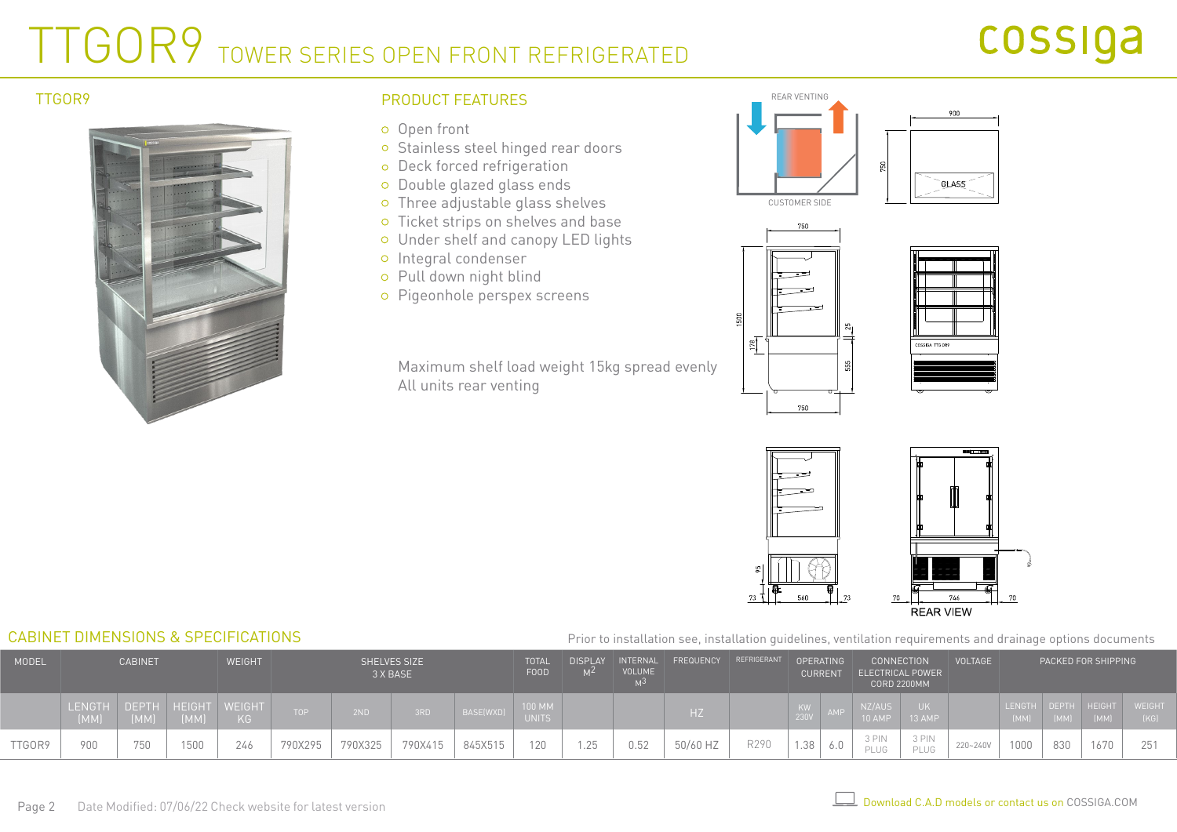# TTGOR9 TOWER SERIES OPEN FRONT REFRIGERATED

# cossiga



## PRODUCT FEATURES REAR VENTING TTGOR9

- o Open front
- o Stainless steel hinged rear doors
- o Deck forced refrigeration
- o Double glazed glass ends
- Three adjustable glass shelves
- o Ticket strips on shelves and base
- Under shelf and canopy LED lights
- o Integral condenser
- Pull down night blind
- Pigeonhole perspex screens

Maximum shelf load weight 15kg spread evenly All units rear venting









#### Prior to installation see, installation guidelines, ventilation requirements and drainage options documents

| <b>MODEL</b> | <b>CABINET</b>                     |      | <b>WEIGHT</b> |     | <b>SHELVES SIZE</b><br>3 X BASE |         |         | <b>TOTAL</b><br>FOOD | DISPLAY<br>M <sup>2</sup>     | VOLUME | INTERNAL FREQUENCY REFRIGERANT | OPERATING<br><b>CURRENT</b> |      |      | ELECTRICAL POWER | <b>CONNECTION</b><br><b>CORD 2200MM</b> | <b>VOLTAGE</b> |          | PACKED FOR SHIPPING |      |                             |                       |
|--------------|------------------------------------|------|---------------|-----|---------------------------------|---------|---------|----------------------|-------------------------------|--------|--------------------------------|-----------------------------|------|------|------------------|-----------------------------------------|----------------|----------|---------------------|------|-----------------------------|-----------------------|
|              | LENGTH DEPTH HEIGHT WEIGHT<br>(MM) | [MM] | (MM)          | KG. | TOP .                           | 2ND     | 3RD     | BASE(WXD)            | <b>100 MM</b><br><b>UNITS</b> |        |                                |                             |      | 230V | <b>AME</b>       | NZ/AUS<br>10 AMP                        | 13 AMP         |          | (MM)                | (MM) | LENGTH DEPTH HEIGHT<br>[MM] | <b>WEIGHT</b><br>[KG] |
| TTGOR9       |                                    | 750  | 1500          | 246 | 790X295                         | 790X325 | 790X415 | 845X515              | 120                           | 1.25   | 0.52                           | 50/60 HZ                    | R290 | 1.38 |                  | 3 PIN<br>PLUG                           | 3 PIN<br>PLUG  | 220~240V | 1000                | 830  |                             | 251                   |

CABINET DIMENSIONS & SPECIFICATIONS